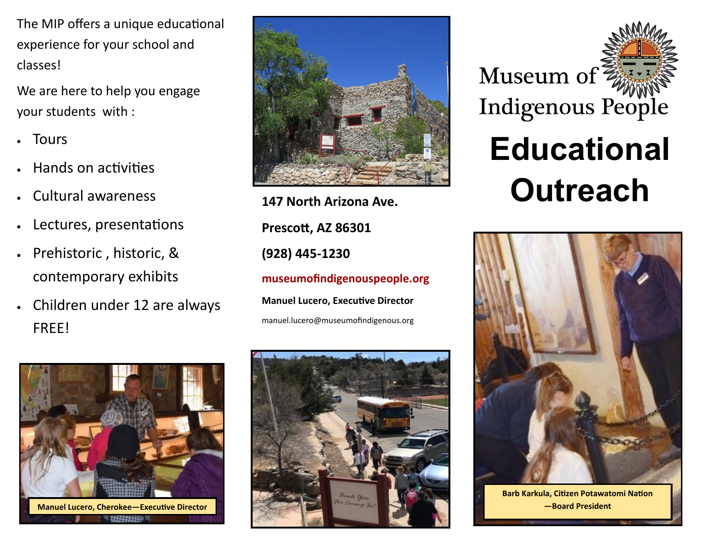The MIP offers a unique educational experience for your school and classes!

We are here to help you engage your students with :

- Tours
- Hands on activities
- Cultural awareness
- Lectures, presentations
- Prehistoric , historic, & contemporary exhibits
- Children under 12 are always FREE!



**Prescott, AZ 86301 (928) 445-1230 museumofindigenouspeople.org Manuel Lucero, Executive Director** manuel.lucero@museumofindigenous.org









**Barb Karkula, Citizen Potawatomi Nation**